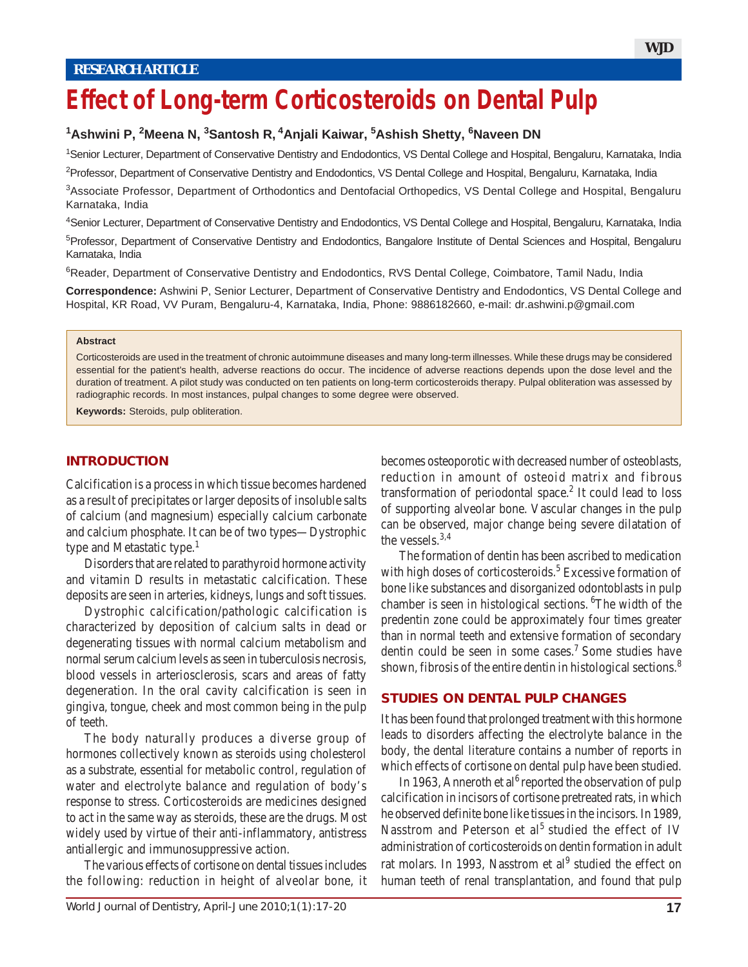# **Effect of Long-term Corticosteroids on Dental Pulp**

# **1 Ashwini P, 2 Meena N, 3 Santosh R, 4Anjali Kaiwar, 5 Ashish Shetty, 6 Naveen DN**

1 Senior Lecturer, Department of Conservative Dentistry and Endodontics, VS Dental College and Hospital, Bengaluru, Karnataka, India

<sup>2</sup>Professor, Department of Conservative Dentistry and Endodontics, VS Dental College and Hospital, Bengaluru, Karnataka, India

3 Associate Professor, Department of Orthodontics and Dentofacial Orthopedics, VS Dental College and Hospital, Bengaluru Karnataka, India

4 Senior Lecturer, Department of Conservative Dentistry and Endodontics, VS Dental College and Hospital, Bengaluru, Karnataka, India

<sup>5</sup>Professor, Department of Conservative Dentistry and Endodontics, Bangalore Institute of Dental Sciences and Hospital, Bengaluru Karnataka, India

<sup>6</sup>Reader, Department of Conservative Dentistry and Endodontics, RVS Dental College, Coimbatore, Tamil Nadu, India

**Correspondence:** Ashwini P, Senior Lecturer, Department of Conservative Dentistry and Endodontics, VS Dental College and Hospital, KR Road, VV Puram, Bengaluru-4, Karnataka, India, Phone: 9886182660, e-mail: dr.ashwini.p@gmail.com

#### **Abstract**

Corticosteroids are used in the treatment of chronic autoimmune diseases and many long-term illnesses. While these drugs may be considered essential for the patient's health, adverse reactions do occur. The incidence of adverse reactions depends upon the dose level and the duration of treatment. A pilot study was conducted on ten patients on long-term corticosteroids therapy. Pulpal obliteration was assessed by radiographic records. In most instances, pulpal changes to some degree were observed.

**Keywords:** Steroids, pulp obliteration.

#### **INTRODUCTION**

Calcification is a process in which tissue becomes hardened as a result of precipitates or larger deposits of insoluble salts of calcium (and magnesium) especially calcium carbonate and calcium phosphate. It can be of two types—Dystrophic type and Metastatic type.<sup>1</sup>

Disorders that are related to parathyroid hormone activity and vitamin D results in metastatic calcification. These deposits are seen in arteries, kidneys, lungs and soft tissues.

Dystrophic calcification/pathologic calcification is characterized by deposition of calcium salts in dead or degenerating tissues with normal calcium metabolism and normal serum calcium levels as seen in tuberculosis necrosis, blood vessels in arteriosclerosis, scars and areas of fatty degeneration. In the oral cavity calcification is seen in gingiva, tongue, cheek and most common being in the pulp of teeth.

The body naturally produces a diverse group of hormones collectively known as steroids using cholesterol as a substrate, essential for metabolic control, regulation of water and electrolyte balance and regulation of body's response to stress. Corticosteroids are medicines designed to act in the same way as steroids, these are the drugs. Most widely used by virtue of their anti-inflammatory, antistress antiallergic and immunosuppressive action.

The various effects of cortisone on dental tissues includes the following: reduction in height of alveolar bone, it becomes osteoporotic with decreased number of osteoblasts, reduction in amount of osteoid matrix and fibrous transformation of periodontal space. $2$  It could lead to loss of supporting alveolar bone. Vascular changes in the pulp can be observed, major change being severe dilatation of the vessels. $3,4$ 

The formation of dentin has been ascribed to medication with high doses of corticosteroids.<sup>5</sup> Excessive formation of bone like substances and disorganized odontoblasts in pulp chamber is seen in histological sections. <sup>6</sup>The width of the predentin zone could be approximately four times greater than in normal teeth and extensive formation of secondary dentin could be seen in some cases.<sup>7</sup> Some studies have shown, fibrosis of the entire dentin in histological sections.<sup>8</sup>

# **STUDIES ON DENTAL PULP CHANGES**

It has been found that prolonged treatment with this hormone leads to disorders affecting the electrolyte balance in the body, the dental literature contains a number of reports in which effects of cortisone on dental pulp have been studied.

In 1963, Anneroth et al<sup>6</sup> reported the observation of pulp calcification in incisors of cortisone pretreated rats, in which he observed definite bone like tissues in the incisors. In 1989, Nasstrom and Peterson et al<sup>5</sup> studied the effect of IV administration of corticosteroids on dentin formation in adult rat molars. In 1993, Nasstrom et al<sup>9</sup> studied the effect on human teeth of renal transplantation, and found that pulp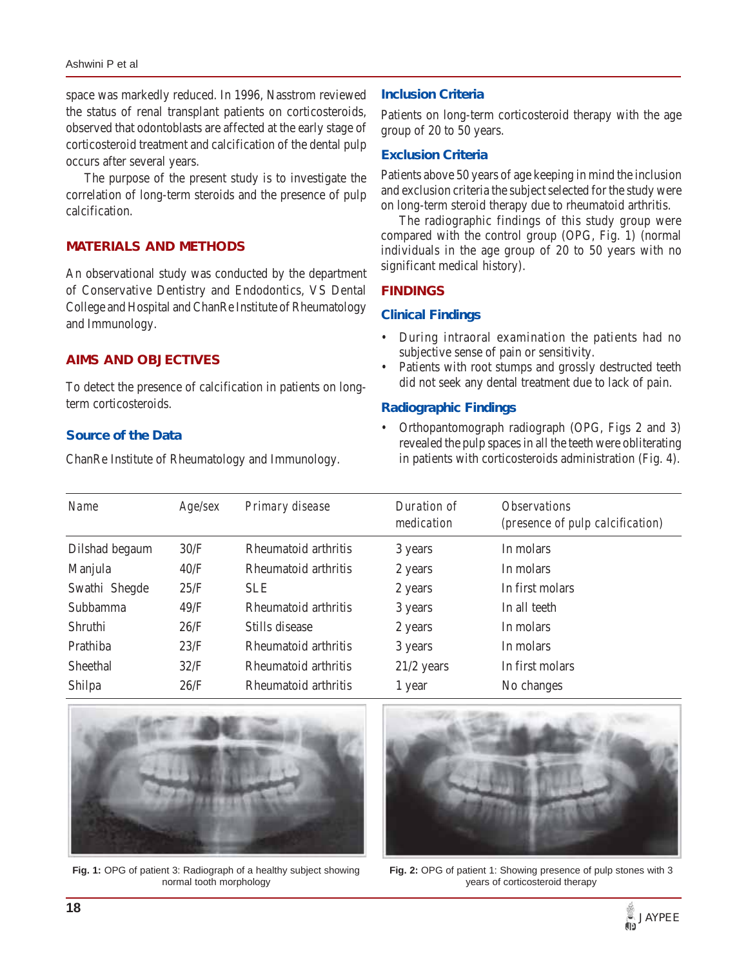space was markedly reduced. In 1996, Nasstrom reviewed the status of renal transplant patients on corticosteroids, observed that odontoblasts are affected at the early stage of corticosteroid treatment and calcification of the dental pulp occurs after several years.

The purpose of the present study is to investigate the correlation of long-term steroids and the presence of pulp calcification.

# **MATERIALS AND METHODS**

An observational study was conducted by the department of Conservative Dentistry and Endodontics, VS Dental College and Hospital and ChanRe Institute of Rheumatology and Immunology.

# **AIMS AND OBJECTIVES**

To detect the presence of calcification in patients on longterm corticosteroids.

## **Source of the Data**

ChanRe Institute of Rheumatology and Immunology.

# **Inclusion Criteria**

Patients on long-term corticosteroid therapy with the age group of 20 to 50 years.

# **Exclusion Criteria**

Patients above 50 years of age keeping in mind the inclusion and exclusion criteria the subject selected for the study were on long-term steroid therapy due to rheumatoid arthritis.

The radiographic findings of this study group were compared with the control group (OPG, Fig. 1) (normal individuals in the age group of 20 to 50 years with no significant medical history).

#### **FINDINGS**

## **Clinical Findings**

- During intraoral examination the patients had no subjective sense of pain or sensitivity.
- Patients with root stumps and grossly destructed teeth did not seek any dental treatment due to lack of pain.

## **Radiographic Findings**

• Orthopantomograph radiograph (OPG, Figs 2 and 3) revealed the pulp spaces in all the teeth were obliterating in patients with corticosteroids administration (Fig. 4).

| <b>Name</b>    | Age/sec | Primary disease      | Duration of<br>medication | <i><b>Observations</b></i><br>(presence of pulp calcification) |
|----------------|---------|----------------------|---------------------------|----------------------------------------------------------------|
| Dilshad begaum | 30/F    | Rheumatoid arthritis | 3 years                   | In molars                                                      |
| Manjula        | 40/F    | Rheumatoid arthritis | 2 years                   | In molars                                                      |
| Swathi Shegde  | 25/F    | <b>SLE</b>           | 2 years                   | In first molars                                                |
| Subbamma       | 49/F    | Rheumatoid arthritis | 3 years                   | In all teeth                                                   |
| Shruthi        | 26/F    | Stills disease       | 2 years                   | In molars                                                      |
| Prathiba       | 23/F    | Rheumatoid arthritis | 3 years                   | In molars                                                      |
| Sheethal       | 32/F    | Rheumatoid arthritis | $21/2$ years              | In first molars                                                |
| Shilpa         | 26/F    | Rheumatoid arthritis | 1 year                    | No changes                                                     |



**Fig. 1:** OPG of patient 3: Radiograph of a healthy subject showing normal tooth morphology



**Fig. 2:** OPG of patient 1: Showing presence of pulp stones with 3 years of corticosteroid therapy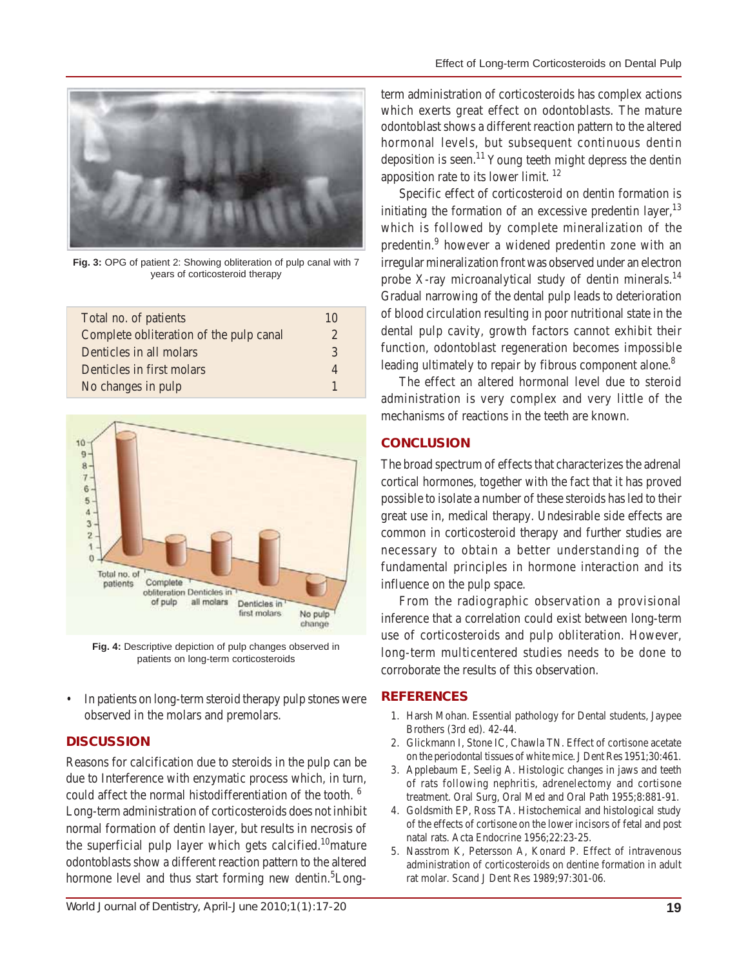

**Fig. 3:** OPG of patient 2: Showing obliteration of pulp canal with 7 years of corticosteroid therapy

| Total no. of patients                   | 10            |
|-----------------------------------------|---------------|
| Complete obliteration of the pulp canal | 2             |
| Denticles in all molars                 | $\mathcal{R}$ |
| Denticles in first molars               | 4             |
| No changes in pulp                      |               |



**Fig. 4:** Descriptive depiction of pulp changes observed in patients on long-term corticosteroids

• In patients on long-term steroid therapy pulp stones were observed in the molars and premolars.

# **DISCUSSION**

Reasons for calcification due to steroids in the pulp can be due to Interference with enzymatic process which, in turn, could affect the normal histodifferentiation of the tooth.<sup>6</sup> Long-term administration of corticosteroids does not inhibit normal formation of dentin layer, but results in necrosis of the superficial pulp layer which gets calcified.<sup>10</sup>mature odontoblasts show a different reaction pattern to the altered hormone level and thus start forming new dentin.<sup>5</sup>Longterm administration of corticosteroids has complex actions which exerts great effect on odontoblasts. The mature odontoblast shows a different reaction pattern to the altered hormonal levels, but subsequent continuous dentin deposition is seen.<sup>11</sup> Young teeth might depress the dentin apposition rate to its lower limit. <sup>12</sup>

Specific effect of corticosteroid on dentin formation is initiating the formation of an excessive predentin layer,  $13$ which is followed by complete mineralization of the predentin.<sup>9</sup> however a widened predentin zone with an irregular mineralization front was observed under an electron probe X-ray microanalytical study of dentin minerals.<sup>14</sup> Gradual narrowing of the dental pulp leads to deterioration of blood circulation resulting in poor nutritional state in the dental pulp cavity, growth factors cannot exhibit their function, odontoblast regeneration becomes impossible leading ultimately to repair by fibrous component alone.<sup>8</sup>

The effect an altered hormonal level due to steroid administration is very complex and very little of the mechanisms of reactions in the teeth are known.

# **CONCLUSION**

The broad spectrum of effects that characterizes the adrenal cortical hormones, together with the fact that it has proved possible to isolate a number of these steroids has led to their great use in, medical therapy. Undesirable side effects are common in corticosteroid therapy and further studies are necessary to obtain a better understanding of the fundamental principles in hormone interaction and its influence on the pulp space.

From the radiographic observation a provisional inference that a correlation could exist between long-term use of corticosteroids and pulp obliteration. However, long-term multicentered studies needs to be done to corroborate the results of this observation.

#### **REFERENCES**

- 1. Harsh Mohan. Essential pathology for Dental students, Jaypee Brothers (3rd ed). 42-44.
- 2. Glickmann I, Stone IC, Chawla TN. Effect of cortisone acetate on the periodontal tissues of white mice. J Dent Res 1951;30:461.
- 3. Applebaum E, Seelig A. Histologic changes in jaws and teeth of rats following nephritis, adrenelectomy and cortisone treatment. Oral Surg, Oral Med and Oral Path 1955;8:881-91.
- 4. Goldsmith EP, Ross TA. Histochemical and histological study of the effects of cortisone on the lower incisors of fetal and post natal rats. Acta Endocrine 1956;22:23-25.
- 5. Nasstrom K, Petersson A, Konard P. Effect of intravenous administration of corticosteroids on dentine formation in adult rat molar. Scand J Dent Res 1989;97:301-06.